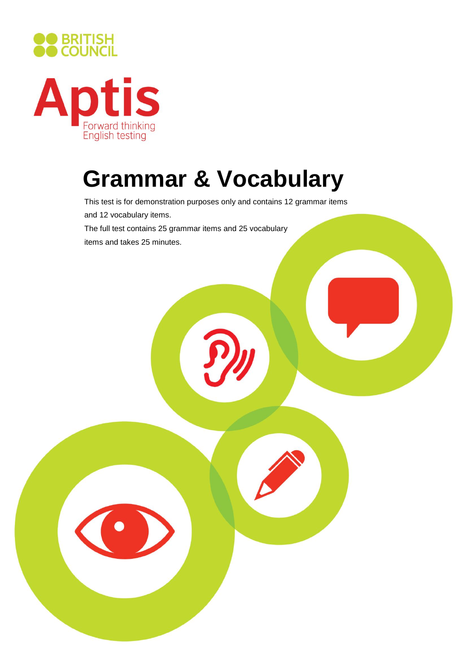



## **Grammar & Vocabulary**

This test is for demonstration purposes only and contains 12 grammar items and 12 vocabulary items. The full test contains 25 grammar items and 25 vocabulary items and takes 25 minutes.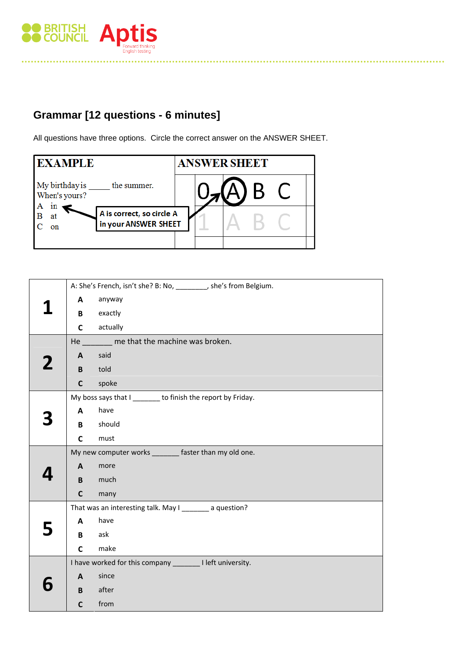

## **Grammar [12 questions - 6 minutes]**

All questions have three options. Circle the correct answer on the ANSWER SHEET.

| <b>EXAMPLE</b>                                                      | <b>ANSWER SHEET</b> |
|---------------------------------------------------------------------|---------------------|
| My birthday is _____<br>the summer.<br>When's yours?                |                     |
| 1n<br>A is correct, so circle A<br>at<br>in your ANSWER SHEET<br>on |                     |

|                                                             | A: She's French, isn't she? B: No, ________, she's from Belgium. |  |  |
|-------------------------------------------------------------|------------------------------------------------------------------|--|--|
| A                                                           | anyway                                                           |  |  |
| B                                                           | exactly                                                          |  |  |
| $\mathsf{C}$                                                | actually                                                         |  |  |
| He me that the machine was broken.                          |                                                                  |  |  |
| $\mathsf{A}$                                                | said                                                             |  |  |
| B                                                           | told                                                             |  |  |
| $\mathbf{C}$                                                | spoke                                                            |  |  |
| My boss says that I _______ to finish the report by Friday. |                                                                  |  |  |
| A                                                           | have                                                             |  |  |
| B                                                           | should                                                           |  |  |
| C                                                           | must                                                             |  |  |
| My new computer works _______ faster than my old one.       |                                                                  |  |  |
| $\mathbf{A}$                                                | more                                                             |  |  |
| B                                                           | much                                                             |  |  |
| $\mathsf{C}$                                                | many                                                             |  |  |
|                                                             | That was an interesting talk. May I ________ a question?         |  |  |
| $\mathbf{A}$                                                | have                                                             |  |  |
| B                                                           | ask                                                              |  |  |
| $\mathsf{C}$                                                | make                                                             |  |  |
| I have worked for this company ________ I left university.  |                                                                  |  |  |
| $\mathbf{A}$                                                | since                                                            |  |  |
| B                                                           | after                                                            |  |  |
| $\mathsf{C}$                                                | from                                                             |  |  |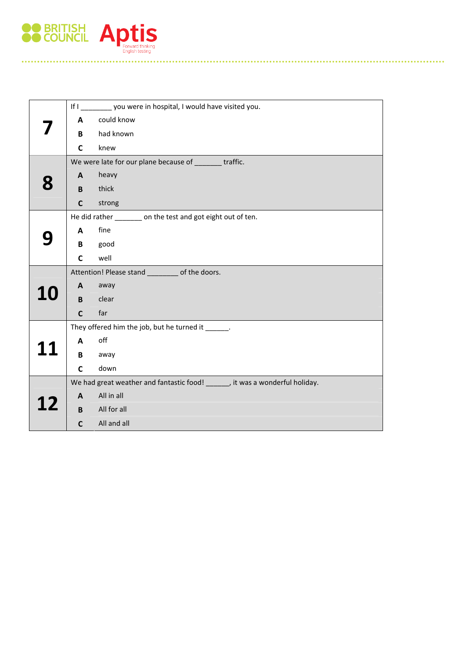

|           | If I ________ you were in hospital, I would have visited you.                |                                                    |  |  |  |
|-----------|------------------------------------------------------------------------------|----------------------------------------------------|--|--|--|
|           | A                                                                            | could know                                         |  |  |  |
|           | B                                                                            | had known                                          |  |  |  |
|           | C                                                                            | knew                                               |  |  |  |
|           | We were late for our plane because of ________ traffic.                      |                                                    |  |  |  |
|           | $\mathbf{A}$                                                                 | heavy                                              |  |  |  |
|           |                                                                              |                                                    |  |  |  |
|           | B                                                                            | thick                                              |  |  |  |
|           | $\mathsf{C}$                                                                 | strong                                             |  |  |  |
|           | He did rather ______ on the test and got eight out of ten.                   |                                                    |  |  |  |
|           | A                                                                            | fine                                               |  |  |  |
|           | B                                                                            | good                                               |  |  |  |
|           | C                                                                            | well                                               |  |  |  |
|           | Attention! Please stand _________ of the doors.                              |                                                    |  |  |  |
|           | $\mathsf{A}$                                                                 | away                                               |  |  |  |
| <b>10</b> | B                                                                            | clear                                              |  |  |  |
|           | $\mathsf{C}$                                                                 | far                                                |  |  |  |
|           |                                                                              | They offered him the job, but he turned it ______. |  |  |  |
|           | A                                                                            | off                                                |  |  |  |
|           | В                                                                            | away                                               |  |  |  |
|           | C                                                                            | down                                               |  |  |  |
|           | We had great weather and fantastic food! ______, it was a wonderful holiday. |                                                    |  |  |  |
|           | A                                                                            | All in all                                         |  |  |  |
| 12        | B                                                                            | All for all                                        |  |  |  |
|           | $\mathbf c$                                                                  | All and all                                        |  |  |  |
|           |                                                                              |                                                    |  |  |  |